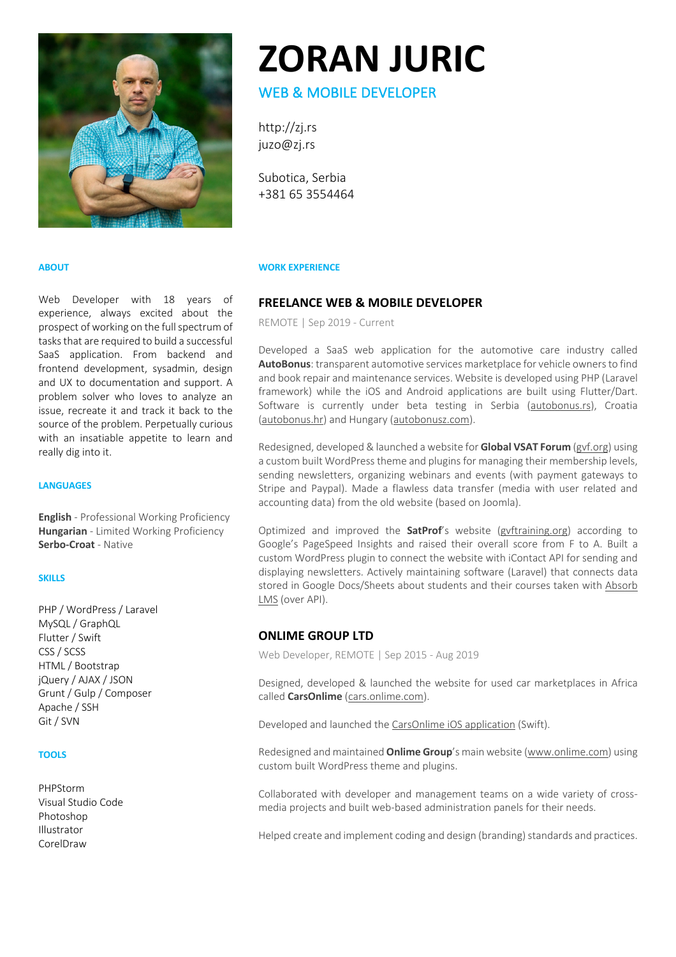

# **ZORAN JURIC**

# WEB & MOBILE DEVELOPER

http://zj.rs juzo@zj.rs

Subotica, Serbia +381 65 3554464

## **ABOUT**

Web Developer with 18 years of experience, always excited about the prospect of working on the full spectrum of tasks that are required to build a successful SaaS application. From backend and frontend development, sysadmin, design and UX to documentation and support. A problem solver who loves to analyze an issue, recreate it and track it back to the source of the problem. Perpetually curious with an insatiable appetite to learn and really dig into it.

## **LANGUAGES**

**English** - Professional Working Proficiency **Hungarian** - Limited Working Proficiency **Serbo-Croat** - Native

### **SKILLS**

PHP / WordPress / Laravel MySQL / GraphQL Flutter / Swift CSS / SCSS HTML / Bootstrap jQuery / AJAX / JSON Grunt / Gulp / Composer Apache / SSH Git / SVN

## **TOOLS**

PHPStorm Visual Studio Code Photoshop Illustrator CorelDraw

## **WORK EXPERIENCE**

## **FREELANCE WEB & MOBILE DEVELOPER**

REMOTE | Sep 2019 - Current

Developed a SaaS web application for the automotive care industry called **AutoBonus**: transparent automotive services marketplace for vehicle owners to find and book repair and maintenance services. Website is developed using PHP (Laravel framework) while the iOS and Android applications are built using Flutter/Dart. Software is currently under beta testing in Serbia (autobonus.rs), Croatia (autobonus.hr) and Hungary (autobonusz.com).

Redesigned, developed & launched a website for **Global VSAT Forum** (gvf.org) using a custom built WordPress theme and plugins for managing their membership levels, sending newsletters, organizing webinars and events (with payment gateways to Stripe and Paypal). Made a flawless data transfer (media with user related and accounting data) from the old website (based on Joomla).

Optimized and improved the **SatProf**'s website (gvftraining.org) according to Google's PageSpeed Insights and raised their overall score from F to A. Built a custom WordPress plugin to connect the website with iContact API for sending and displaying newsletters. Actively maintaining software (Laravel) that connects data stored in Google Docs/Sheets about students and their courses taken with Absorb LMS (over API).

## **ONLIME GROUP LTD**

Web Developer, REMOTE | Sep 2015 - Aug 2019

Designed, developed & launched the website for used car marketplaces in Africa called **CarsOnlime** (cars.onlime.com).

Developed and launched the CarsOnlime iOS application (Swift).

Redesigned and maintained **Onlime Group**'s main website (www.onlime.com) using custom built WordPress theme and plugins.

Collaborated with developer and management teams on a wide variety of crossmedia projects and built web-based administration panels for their needs.

Helped create and implement coding and design (branding) standards and practices.